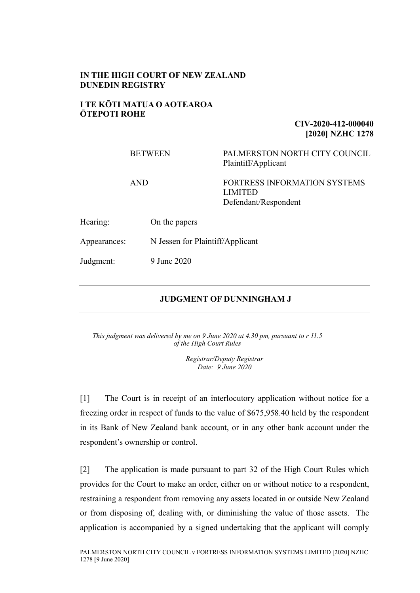## **IN THE HIGH COURT OF NEW ZEALAND DUNEDIN REGISTRY**

#### **I TE KŌTI MATUA O AOTEAROA ŌTEPOTI ROHE**

## **CIV-2020-412-000040 [2020] NZHC 1278**

#### BETWEEN PALMERSTON NORTH CITY COUNCIL Plaintiff/Applicant

## AND FORTRESS INFORMATION SYSTEMS LIMITED Defendant/Respondent

Hearing: On the papers

Appearances: N Jessen for Plaintiff/Applicant

Judgment: 9 June 2020

## **JUDGMENT OF DUNNINGHAM J**

*This judgment was delivered by me on 9 June 2020 at 4.30 pm, pursuant to r 11.5 of the High Court Rules*

> *Registrar/Deputy Registrar Date: 9 June 2020*

[1] The Court is in receipt of an interlocutory application without notice for a freezing order in respect of funds to the value of \$675,958.40 held by the respondent in its Bank of New Zealand bank account, or in any other bank account under the respondent's ownership or control.

[2] The application is made pursuant to part 32 of the High Court Rules which provides for the Court to make an order, either on or without notice to a respondent, restraining a respondent from removing any assets located in or outside New Zealand or from disposing of, dealing with, or diminishing the value of those assets. The application is accompanied by a signed undertaking that the applicant will comply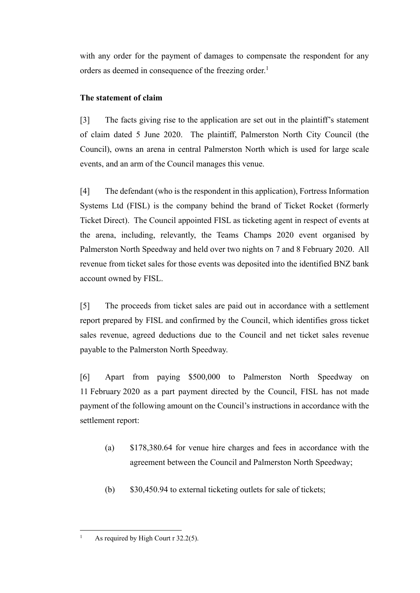with any order for the payment of damages to compensate the respondent for any orders as deemed in consequence of the freezing order.<sup>1</sup>

# **The statement of claim**

[3] The facts giving rise to the application are set out in the plaintiff's statement of claim dated 5 June 2020. The plaintiff, Palmerston North City Council (the Council), owns an arena in central Palmerston North which is used for large scale events, and an arm of the Council manages this venue.

[4] The defendant (who is the respondent in this application), Fortress Information Systems Ltd (FISL) is the company behind the brand of Ticket Rocket (formerly Ticket Direct). The Council appointed FISL as ticketing agent in respect of events at the arena, including, relevantly, the Teams Champs 2020 event organised by Palmerston North Speedway and held over two nights on 7 and 8 February 2020. All revenue from ticket sales for those events was deposited into the identified BNZ bank account owned by FISL.

[5] The proceeds from ticket sales are paid out in accordance with a settlement report prepared by FISL and confirmed by the Council, which identifies gross ticket sales revenue, agreed deductions due to the Council and net ticket sales revenue payable to the Palmerston North Speedway.

[6] Apart from paying \$500,000 to Palmerston North Speedway on 11 February 2020 as a part payment directed by the Council, FISL has not made payment of the following amount on the Council's instructions in accordance with the settlement report:

- (a) \$178,380.64 for venue hire charges and fees in accordance with the agreement between the Council and Palmerston North Speedway;
- (b) \$30,450.94 to external ticketing outlets for sale of tickets;

 $\overline{a}$ 

<sup>&</sup>lt;sup>1</sup> As required by High Court r 32.2(5).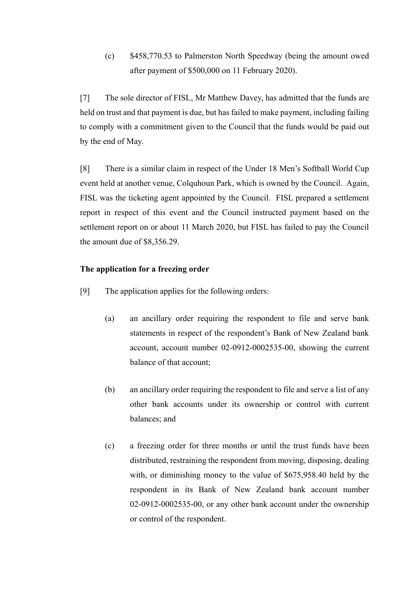(c) \$458,770.53 to Palmerston North Speedway (being the amount owed after payment of \$500,000 on 11 February 2020).

[7] The sole director of FISL, Mr Matthew Davey, has admitted that the funds are held on trust and that payment is due, but has failed to make payment, including failing to comply with a commitment given to the Council that the funds would be paid out by the end of May.

[8] There is a similar claim in respect of the Under 18 Men's Softball World Cup event held at another venue, Colquhoun Park, which is owned by the Council. Again, FISL was the ticketing agent appointed by the Council. FISL prepared a settlement report in respect of this event and the Council instructed payment based on the settlement report on or about 11 March 2020, but FISL has failed to pay the Council the amount due of \$8,356.29.

## **The application for a freezing order**

- [9] The application applies for the following orders:
	- (a) an ancillary order requiring the respondent to file and serve bank statements in respect of the respondent's Bank of New Zealand bank account, account number 02-0912-0002535-00, showing the current balance of that account;
	- (b) an ancillary order requiring the respondent to file and serve a list of any other bank accounts under its ownership or control with current balances; and
	- (c) a freezing order for three months or until the trust funds have been distributed, restraining the respondent from moving, disposing, dealing with, or diminishing money to the value of \$675,958.40 held by the respondent in its Bank of New Zealand bank account number 02-0912-0002535-00, or any other bank account under the ownership or control of the respondent.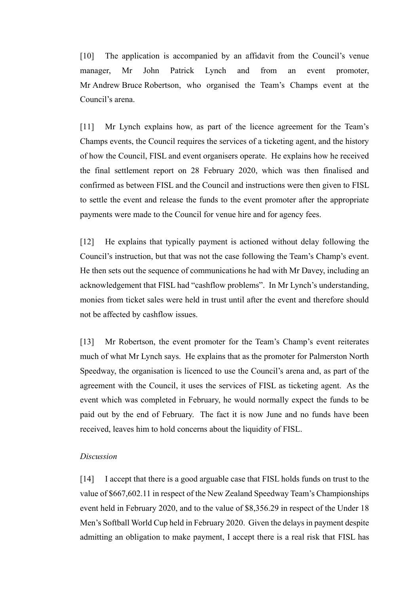[10] The application is accompanied by an affidavit from the Council's venue manager, Mr John Patrick Lynch and from an event promoter, Mr Andrew Bruce Robertson, who organised the Team's Champs event at the Council's arena.

[11] Mr Lynch explains how, as part of the licence agreement for the Team's Champs events, the Council requires the services of a ticketing agent, and the history of how the Council, FISL and event organisers operate. He explains how he received the final settlement report on 28 February 2020, which was then finalised and confirmed as between FISL and the Council and instructions were then given to FISL to settle the event and release the funds to the event promoter after the appropriate payments were made to the Council for venue hire and for agency fees.

[12] He explains that typically payment is actioned without delay following the Council's instruction, but that was not the case following the Team's Champ's event. He then sets out the sequence of communications he had with Mr Davey, including an acknowledgement that FISL had "cashflow problems". In Mr Lynch's understanding, monies from ticket sales were held in trust until after the event and therefore should not be affected by cashflow issues.

[13] Mr Robertson, the event promoter for the Team's Champ's event reiterates much of what Mr Lynch says. He explains that as the promoter for Palmerston North Speedway, the organisation is licenced to use the Council's arena and, as part of the agreement with the Council, it uses the services of FISL as ticketing agent. As the event which was completed in February, he would normally expect the funds to be paid out by the end of February. The fact it is now June and no funds have been received, leaves him to hold concerns about the liquidity of FISL.

#### *Discussion*

[14] I accept that there is a good arguable case that FISL holds funds on trust to the value of \$667,602.11 in respect of the New Zealand Speedway Team's Championships event held in February 2020, and to the value of \$8,356.29 in respect of the Under 18 Men's Softball World Cup held in February 2020. Given the delays in payment despite admitting an obligation to make payment, I accept there is a real risk that FISL has